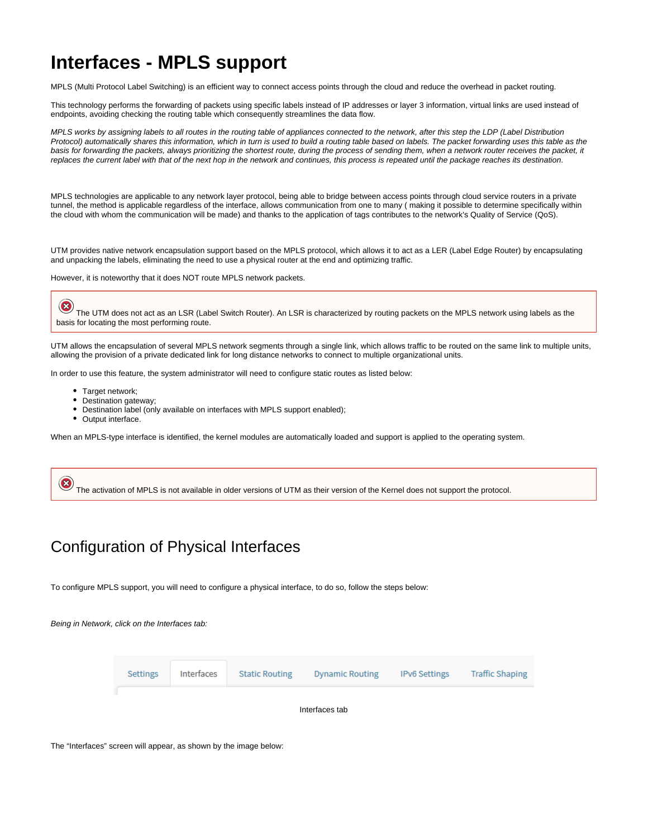# **Interfaces - MPLS support**

MPLS (Multi Protocol Label Switching) is an efficient way to connect access points through the cloud and reduce the overhead in packet routing.

This technology performs the forwarding of packets using specific labels instead of IP addresses or layer 3 information, virtual links are used instead of endpoints, avoiding checking the routing table which consequently streamlines the data flow.

MPLS works by assigning labels to all routes in the routing table of appliances connected to the network, after this step the LDP (Label Distribution Protocol) automatically shares this information, which in turn is used to build a routing table based on labels. The packet forwarding uses this table as the basis for forwarding the packets, always prioritizing the shortest route, during the process of sending them, when a network router receives the packet, it replaces the current label with that of the next hop in the network and continues, this process is repeated until the package reaches its destination.

MPLS technologies are applicable to any network layer protocol, being able to bridge between access points through cloud service routers in a private tunnel, the method is applicable regardless of the interface, allows communication from one to many ( making it possible to determine specifically within the cloud with whom the communication will be made) and thanks to the application of tags contributes to the network's Quality of Service (QoS).

UTM provides native network encapsulation support based on the MPLS protocol, which allows it to act as a LER (Label Edge Router) by encapsulating and unpacking the labels, eliminating the need to use a physical router at the end and optimizing traffic.

However, it is noteworthy that it does NOT route MPLS network packets.

The UTM does not act as an LSR (Label Switch Router). An LSR is characterized by routing packets on the MPLS network using labels as the basis for locating the most performing route.

UTM allows the encapsulation of several MPLS network segments through a single link, which allows traffic to be routed on the same link to multiple units, allowing the provision of a private dedicated link for long distance networks to connect to multiple organizational units.

In order to use this feature, the system administrator will need to configure static routes as listed below:

- Target network:
- Destination gateway;
- Destination label (only available on interfaces with MPLS support enabled);
- Output interface.

When an MPLS-type interface is identified, the kernel modules are automatically loaded and support is applied to the operating system.



### <span id="page-0-0"></span>Configuration of Physical Interfaces

To configure MPLS support, you will need to configure a physical interface, to do so, follow the steps below:

Being in Network, click on the Interfaces tab:



Interfaces tab

The "Interfaces" screen will appear, as shown by the image below: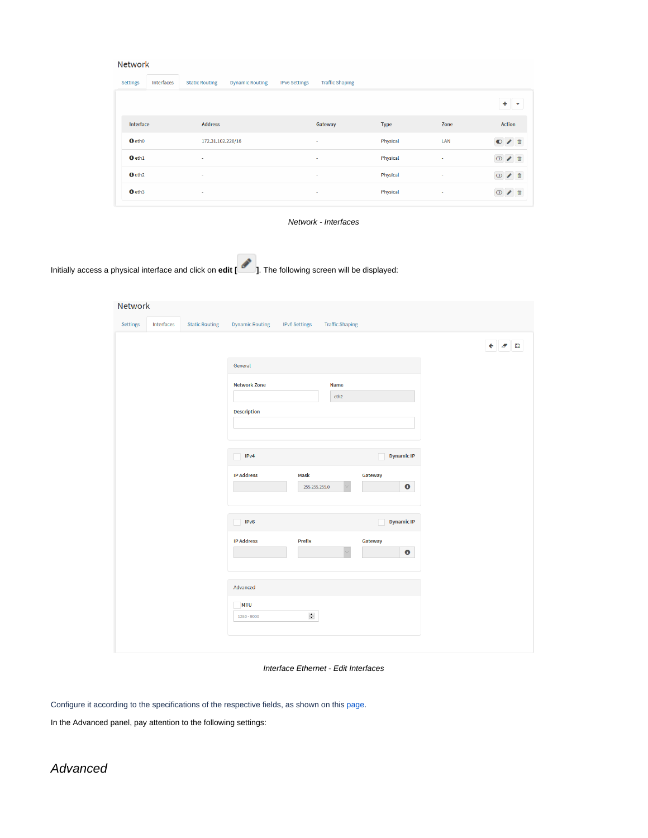| Network |  |  |  |
|---------|--|--|--|
|         |  |  |  |

| Settings           | Interfaces | <b>Static Routing</b> | <b>Dynamic Routing</b> | <b>IPv6 Settings</b> | <b>Traffic Shaping</b> |             |      |                |
|--------------------|------------|-----------------------|------------------------|----------------------|------------------------|-------------|------|----------------|
|                    |            |                       |                        |                      |                        |             |      | ۰              |
| Interface          |            | <b>Address</b>        |                        |                      | Gateway                | <b>Type</b> | Zone | <b>Action</b>  |
| <b>O</b> eth0      |            | 172.31.102.220/16     |                        |                      | $\sim$                 | Physical    | LAN  | 俞<br>$\bullet$ |
| $\theta$ eth $1$   |            | $\sim$                |                        |                      | ٠                      | Physical    | ٠    | m              |
| O eth <sub>2</sub> |            | $\sim$                |                        |                      | $\sim$                 | Physical    | ÷    | 面              |
| $\theta$ eth3      |            | $\sim$                |                        |                      | $\sim$                 | Physical    | ٠    |                |

Network - Interfaces

Initially access a physical interface and click on **edit [ ]**. The following screen will be displayed:

| Settings | Interfaces | <b>Static Routing</b> | <b>Dynamic Routing</b>    | <b>IPv6 Settings</b>  | <b>Traffic Shaping</b> |                      |                         |
|----------|------------|-----------------------|---------------------------|-----------------------|------------------------|----------------------|-------------------------|
|          |            |                       |                           |                       |                        |                      | $\leftarrow$ $\sigma$ B |
|          |            |                       | General                   |                       |                        |                      |                         |
|          |            |                       | <b>Network Zone</b>       |                       | <b>Name</b>            |                      |                         |
|          |            |                       | <b>Description</b>        |                       | eth <sub>2</sub>       |                      |                         |
|          |            |                       |                           |                       |                        |                      |                         |
|          |            |                       | IPv4                      |                       |                        | <b>Dynamic IP</b>    |                         |
|          |            |                       | <b>IP Address</b>         | Mask<br>255.255.255.0 |                        | Gateway<br>$\bullet$ |                         |
|          |            |                       | IPv6                      |                       |                        | <b>Dynamic IP</b>    |                         |
|          |            |                       | <b>IP Address</b>         | <b>Prefix</b>         |                        | Gateway<br>$\bullet$ |                         |
|          |            |                       | Advanced                  |                       |                        |                      |                         |
|          |            |                       | <b>MTU</b><br>1280 - 9000 | $\div$                |                        |                      |                         |
|          |            |                       |                           |                       |                        |                      |                         |

Interface Ethernet - Edit Interfaces

Configure it according to the specifications of the respective fields, as shown on this [page](https://docs.blockbit.com/display/RCE/Interfaces+-+Ethernet+Interface).

In the Advanced panel, pay attention to the following settings: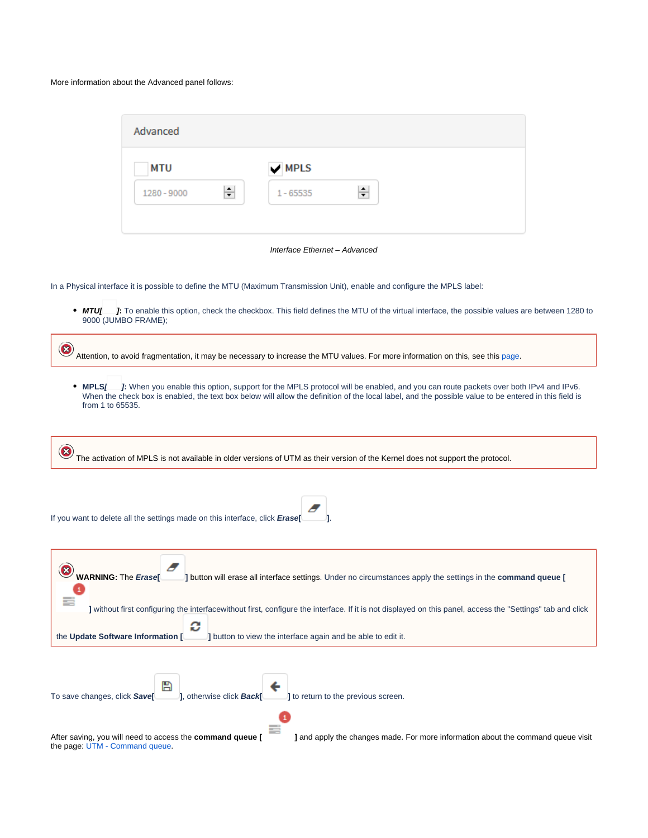#### More information about the Advanced panel follows:

| Advanced                                |   |
|-----------------------------------------|---|
| $\blacktriangledown$ MPLS<br><b>MTU</b> |   |
| ÷<br>1280 - 9000<br>$1 - 65535$         | ÷ |

Interface Ethernet – Advanced

In a Physical interface it is possible to define the MTU (Maximum Transmission Unit), enable and configure the MPLS label:

**MTU[ ]:** To enable this option, check the checkbox. This field defines the MTU of the virtual interface, the possible values are between 1280 to 9000 (JUMBO FRAME);

B Attention, to avoid fragmentation, it may be necessary to increase the MTU values. For more information on this, see this [page.](https://docs.blockbit.com/display/RCE/Packet+Fragmentation+and+MTU)

**MPLS[ ]:** When you enable this option, support for the MPLS protocol will be enabled, and you can route packets over both IPv4 and IPv6. When the check box is enabled, the text box below will allow the definition of the local label, and the possible value to be entered in this field is from 1 to 65535.

B The activation of MPLS is not available in older versions of UTM as their version of the Kernel does not support the protocol.

| If you want to delete all the settings made on this interface, click Erase                                                                                                                                                                                           |
|----------------------------------------------------------------------------------------------------------------------------------------------------------------------------------------------------------------------------------------------------------------------|
| WARNING: The Erase<br>I button will erase all interface settings. Under no circumstances apply the settings in the command queue [                                                                                                                                   |
| ] without first configuring the interfacewithout first, configure the interface. If it is not displayed on this panel, access the "Settings" tab and click<br>c<br>I button to view the interface again and be able to edit it.<br>the Update Software Information [ |
|                                                                                                                                                                                                                                                                      |
| 1. otherwise click <b>Back</b> [10] <b>(2014) Seturn</b> to the previous screen.<br>B<br>To save changes, click Save                                                                                                                                                 |
| After saving, you will need to access the command queue [<br>I and apply the changes made. For more information about the command queue visit<br>the page: UTM - Command queue.                                                                                      |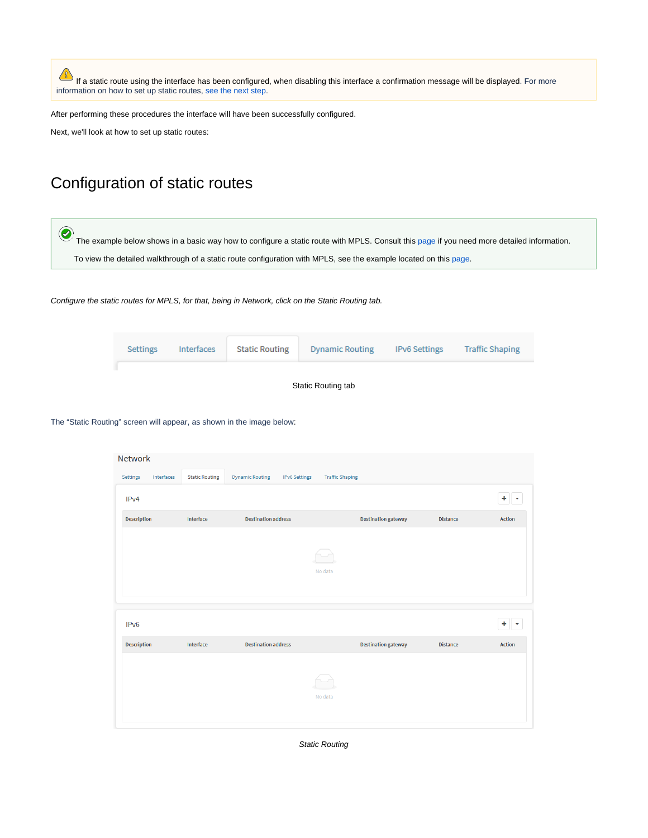If a static route using the interface has been configured, when disabling this interface a confirmation message will be displayed. For more information on how to set up static routes, [see the next step](#page-3-0).

After performing these procedures the interface will have been successfully configured.

Next, we'll look at how to set up static routes:

## <span id="page-3-0"></span>Configuration of static routes

The example below shows in a basic way how to configure a static route with MPLS. Consult this [page](https://docs.blockbit.com/display/RCE/Network+-+Static+Routing) if you need more detailed information. To view the detailed walkthrough of a static route configuration with MPLS, see the example located on this [page.](https://docs.blockbit.com/pages/viewpage.action?pageId=26821534)

Configure the static routes for MPLS, for that, being in Network, click on the Static Routing tab.

| Settings | Interfaces | <b>Static Routing</b> | <b>Dynamic Routing</b> | <b>IPv6 Settings</b> | <b>Traffic Shaping</b> |
|----------|------------|-----------------------|------------------------|----------------------|------------------------|
|          |            |                       |                        |                      |                        |



The "Static Routing" screen will appear, as shown in the image below:

| Network            |            |                       |                                                |                            |                 |                               |  |  |
|--------------------|------------|-----------------------|------------------------------------------------|----------------------------|-----------------|-------------------------------|--|--|
| Settings           | Interfaces | <b>Static Routing</b> | <b>Dynamic Routing</b><br><b>IPv6 Settings</b> | <b>Traffic Shaping</b>     |                 |                               |  |  |
| IP <sub>v4</sub>   |            |                       |                                                |                            |                 | ٠<br>$\overline{\phantom{a}}$ |  |  |
| <b>Description</b> |            | Interface             | <b>Destination address</b>                     | <b>Destination gateway</b> | <b>Distance</b> | <b>Action</b>                 |  |  |
|                    |            |                       |                                                | No data                    |                 |                               |  |  |
|                    |            |                       |                                                |                            |                 |                               |  |  |
| IPv <sub>6</sub>   |            |                       |                                                |                            |                 | $+ + -$                       |  |  |
| <b>Description</b> |            | Interface             | <b>Destination address</b>                     | <b>Destination gateway</b> | <b>Distance</b> | <b>Action</b>                 |  |  |

Static Routing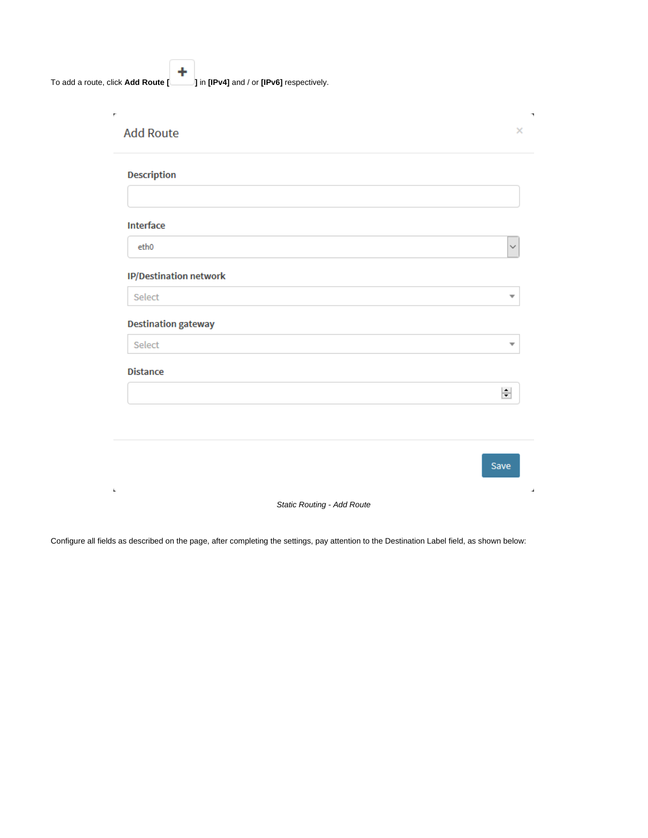4 To add a route, click **Add Route [ ]** in **[IPv4]** and / or **[IPv6]** respectively.

| Interface                  |                         |
|----------------------------|-------------------------|
| eth <sub>0</sub>           | $\checkmark$            |
| IP/Destination network     |                         |
| Select                     | $\overline{\mathbf v}$  |
| <b>Destination gateway</b> |                         |
| Select                     | $\overline{\mathbf{v}}$ |
|                            |                         |
| <b>Distance</b>            |                         |
|                            | $\div$                  |
|                            |                         |
|                            |                         |

Configure all fields as described on the page, after completing the settings, pay attention to the Destination Label field, as shown below: